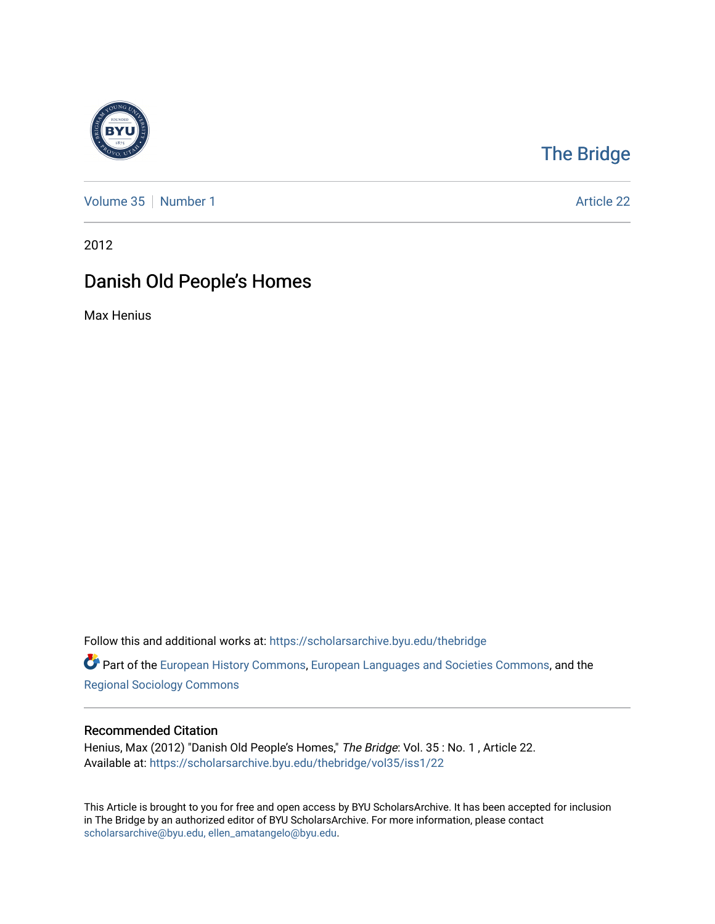

## [The Bridge](https://scholarsarchive.byu.edu/thebridge)

[Volume 35](https://scholarsarchive.byu.edu/thebridge/vol35) [Number 1](https://scholarsarchive.byu.edu/thebridge/vol35/iss1) Article 22

2012

## Danish Old People's Homes

Max Henius

Follow this and additional works at: [https://scholarsarchive.byu.edu/thebridge](https://scholarsarchive.byu.edu/thebridge?utm_source=scholarsarchive.byu.edu%2Fthebridge%2Fvol35%2Fiss1%2F22&utm_medium=PDF&utm_campaign=PDFCoverPages) 

**Part of the [European History Commons](http://network.bepress.com/hgg/discipline/492?utm_source=scholarsarchive.byu.edu%2Fthebridge%2Fvol35%2Fiss1%2F22&utm_medium=PDF&utm_campaign=PDFCoverPages), [European Languages and Societies Commons,](http://network.bepress.com/hgg/discipline/482?utm_source=scholarsarchive.byu.edu%2Fthebridge%2Fvol35%2Fiss1%2F22&utm_medium=PDF&utm_campaign=PDFCoverPages) and the** [Regional Sociology Commons](http://network.bepress.com/hgg/discipline/427?utm_source=scholarsarchive.byu.edu%2Fthebridge%2Fvol35%2Fiss1%2F22&utm_medium=PDF&utm_campaign=PDFCoverPages) 

## Recommended Citation

Henius, Max (2012) "Danish Old People's Homes," The Bridge: Vol. 35: No. 1, Article 22. Available at: [https://scholarsarchive.byu.edu/thebridge/vol35/iss1/22](https://scholarsarchive.byu.edu/thebridge/vol35/iss1/22?utm_source=scholarsarchive.byu.edu%2Fthebridge%2Fvol35%2Fiss1%2F22&utm_medium=PDF&utm_campaign=PDFCoverPages)

This Article is brought to you for free and open access by BYU ScholarsArchive. It has been accepted for inclusion in The Bridge by an authorized editor of BYU ScholarsArchive. For more information, please contact [scholarsarchive@byu.edu, ellen\\_amatangelo@byu.edu](mailto:scholarsarchive@byu.edu,%20ellen_amatangelo@byu.edu).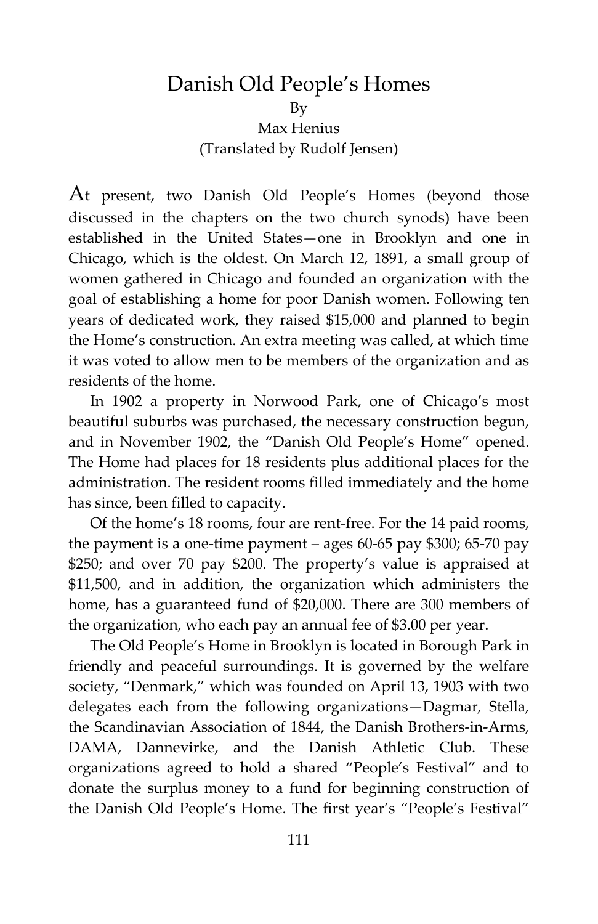## Danish Old People's Homes By Max Henius (Translated by Rudolf Jensen)

At present, two Danish Old People's Homes (beyond those discussed in the chapters on the two church synods) have been established in the United States—one in Brooklyn and one in Chicago, which is the oldest. On March 12, 1891, a small group of women gathered in Chicago and founded an organization with the goal of establishing a home for poor Danish women. Following ten years of dedicated work, they raised \$15,000 and planned to begin the Home's construction. An extra meeting was called, at which time it was voted to allow men to be members of the organization and as residents of the home.

In 1902 a property in Norwood Park, one of Chicago's most beautiful suburbs was purchased, the necessary construction begun, and in November 1902, the "Danish Old People's Home" opened. The Home had places for 18 residents plus additional places for the administration. The resident rooms filled immediately and the home has since, been filled to capacity.

Of the home's 18 rooms, four are rent-free. For the 14 paid rooms, the payment is a one-time payment – ages 60-65 pay \$300; 65-70 pay \$250; and over 70 pay \$200. The property's value is appraised at \$11,500, and in addition, the organization which administers the home, has a guaranteed fund of \$20,000. There are 300 members of the organization, who each pay an annual fee of \$3.00 per year.

The Old People's Home in Brooklyn is located in Borough Park in friendly and peaceful surroundings. It is governed by the welfare society, "Denmark," which was founded on April 13, 1903 with two delegates each from the following organizations—Dagmar, Stella, the Scandinavian Association of 1844, the Danish Brothers-in-Arms, DAMA, Dannevirke, and the Danish Athletic Club. These organizations agreed to hold a shared "People's Festival" and to donate the surplus money to a fund for beginning construction of the Danish Old People's Home. The first year's "People's Festival"